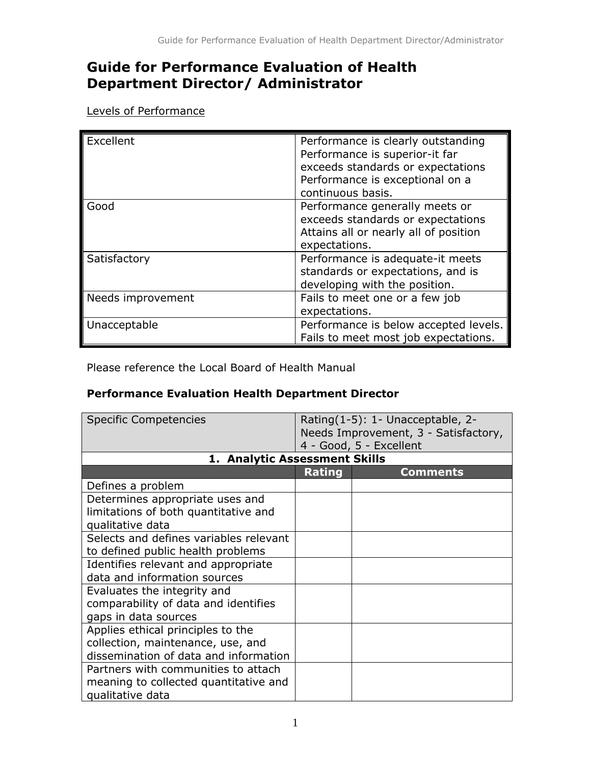## **Guide for Performance Evaluation of Health Department Director/ Administrator**

Levels of Performance

| Excellent         | Performance is clearly outstanding<br>Performance is superior-it far<br>exceeds standards or expectations<br>Performance is exceptional on a<br>continuous basis. |
|-------------------|-------------------------------------------------------------------------------------------------------------------------------------------------------------------|
| Good              | Performance generally meets or<br>exceeds standards or expectations<br>Attains all or nearly all of position<br>expectations.                                     |
| Satisfactory      | Performance is adequate-it meets<br>standards or expectations, and is<br>developing with the position.                                                            |
| Needs improvement | Fails to meet one or a few job<br>expectations.                                                                                                                   |
| Unacceptable      | Performance is below accepted levels.<br>Fails to meet most job expectations.                                                                                     |

Please reference the Local Board of Health Manual

## **Performance Evaluation Health Department Director**

| <b>Specific Competencies</b>           | Rating(1-5): 1- Unacceptable, 2-<br>Needs Improvement, 3 - Satisfactory,<br>4 - Good, 5 - Excellent |                 |
|----------------------------------------|-----------------------------------------------------------------------------------------------------|-----------------|
| 1. Analytic Assessment Skills          |                                                                                                     |                 |
|                                        | <b>Rating</b>                                                                                       | <b>Comments</b> |
| Defines a problem                      |                                                                                                     |                 |
| Determines appropriate uses and        |                                                                                                     |                 |
| limitations of both quantitative and   |                                                                                                     |                 |
| qualitative data                       |                                                                                                     |                 |
| Selects and defines variables relevant |                                                                                                     |                 |
| to defined public health problems      |                                                                                                     |                 |
| Identifies relevant and appropriate    |                                                                                                     |                 |
| data and information sources           |                                                                                                     |                 |
| Evaluates the integrity and            |                                                                                                     |                 |
| comparability of data and identifies   |                                                                                                     |                 |
| gaps in data sources                   |                                                                                                     |                 |
| Applies ethical principles to the      |                                                                                                     |                 |
| collection, maintenance, use, and      |                                                                                                     |                 |
| dissemination of data and information  |                                                                                                     |                 |
| Partners with communities to attach    |                                                                                                     |                 |
| meaning to collected quantitative and  |                                                                                                     |                 |
| qualitative data                       |                                                                                                     |                 |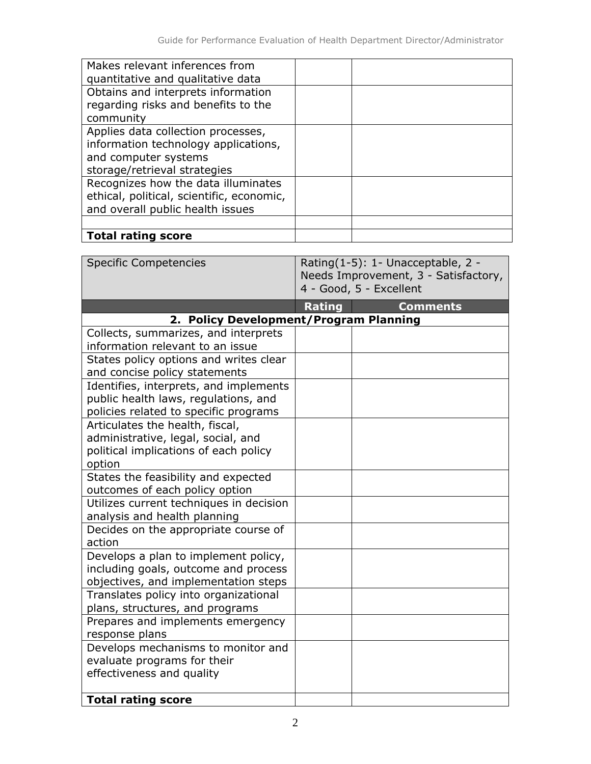| Makes relevant inferences from<br>quantitative and qualitative data                                                                |  |
|------------------------------------------------------------------------------------------------------------------------------------|--|
| Obtains and interprets information<br>regarding risks and benefits to the<br>community                                             |  |
| Applies data collection processes,<br>information technology applications,<br>and computer systems<br>storage/retrieval strategies |  |
| Recognizes how the data illuminates<br>ethical, political, scientific, economic,<br>and overall public health issues               |  |
| <b>Total rating score</b>                                                                                                          |  |

| <b>Specific Competencies</b>                        | Rating(1-5): 1- Unacceptable, 2 -<br>Needs Improvement, 3 - Satisfactory,<br>4 - Good, 5 - Excellent |  |
|-----------------------------------------------------|------------------------------------------------------------------------------------------------------|--|
|                                                     | <b>Rating</b><br><b>Comments</b>                                                                     |  |
| 2. Policy Development/Program Planning              |                                                                                                      |  |
| Collects, summarizes, and interprets                |                                                                                                      |  |
| information relevant to an issue                    |                                                                                                      |  |
| States policy options and writes clear              |                                                                                                      |  |
| and concise policy statements                       |                                                                                                      |  |
| Identifies, interprets, and implements              |                                                                                                      |  |
| public health laws, regulations, and                |                                                                                                      |  |
| policies related to specific programs               |                                                                                                      |  |
| Articulates the health, fiscal,                     |                                                                                                      |  |
| administrative, legal, social, and                  |                                                                                                      |  |
| political implications of each policy               |                                                                                                      |  |
| option                                              |                                                                                                      |  |
| States the feasibility and expected                 |                                                                                                      |  |
| outcomes of each policy option                      |                                                                                                      |  |
| Utilizes current techniques in decision             |                                                                                                      |  |
| analysis and health planning                        |                                                                                                      |  |
| Decides on the appropriate course of                |                                                                                                      |  |
| action                                              |                                                                                                      |  |
| Develops a plan to implement policy,                |                                                                                                      |  |
| including goals, outcome and process                |                                                                                                      |  |
| objectives, and implementation steps                |                                                                                                      |  |
| Translates policy into organizational               |                                                                                                      |  |
| plans, structures, and programs                     |                                                                                                      |  |
| Prepares and implements emergency<br>response plans |                                                                                                      |  |
| Develops mechanisms to monitor and                  |                                                                                                      |  |
| evaluate programs for their                         |                                                                                                      |  |
| effectiveness and quality                           |                                                                                                      |  |
|                                                     |                                                                                                      |  |
| <b>Total rating score</b>                           |                                                                                                      |  |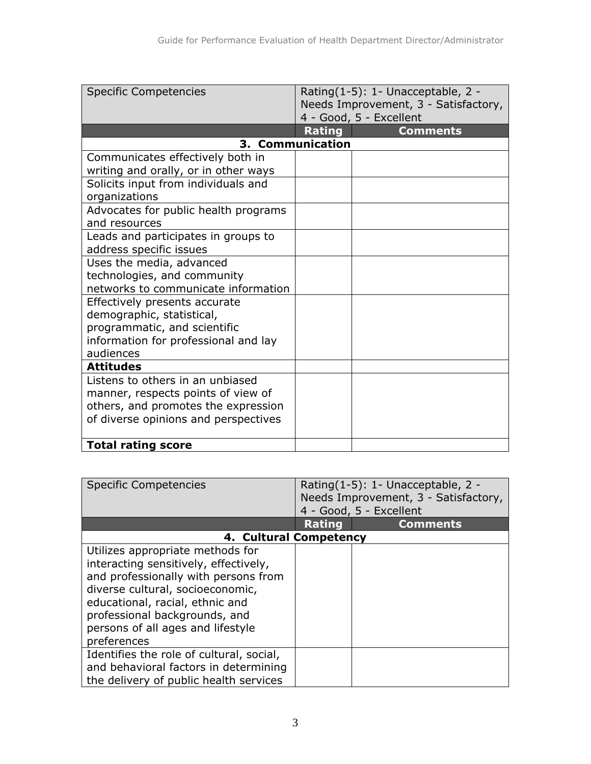| <b>Specific Competencies</b>         | Rating(1-5): 1- Unacceptable, 2 -<br>Needs Improvement, 3 - Satisfactory,<br>4 - Good, 5 - Excellent |                 |
|--------------------------------------|------------------------------------------------------------------------------------------------------|-----------------|
|                                      | Rating                                                                                               | <b>Comments</b> |
|                                      | 3. Communication                                                                                     |                 |
| Communicates effectively both in     |                                                                                                      |                 |
| writing and orally, or in other ways |                                                                                                      |                 |
| Solicits input from individuals and  |                                                                                                      |                 |
| organizations                        |                                                                                                      |                 |
| Advocates for public health programs |                                                                                                      |                 |
| and resources                        |                                                                                                      |                 |
| Leads and participates in groups to  |                                                                                                      |                 |
| address specific issues              |                                                                                                      |                 |
| Uses the media, advanced             |                                                                                                      |                 |
| technologies, and community          |                                                                                                      |                 |
| networks to communicate information  |                                                                                                      |                 |
| Effectively presents accurate        |                                                                                                      |                 |
| demographic, statistical,            |                                                                                                      |                 |
| programmatic, and scientific         |                                                                                                      |                 |
| information for professional and lay |                                                                                                      |                 |
| audiences                            |                                                                                                      |                 |
| <b>Attitudes</b>                     |                                                                                                      |                 |
| Listens to others in an unbiased     |                                                                                                      |                 |
| manner, respects points of view of   |                                                                                                      |                 |
| others, and promotes the expression  |                                                                                                      |                 |
| of diverse opinions and perspectives |                                                                                                      |                 |
| <b>Total rating score</b>            |                                                                                                      |                 |

| <b>Specific Competencies</b>                                                                                                                                                                                                                                                  | Rating(1-5): 1- Unacceptable, 2 -<br>Needs Improvement, 3 - Satisfactory,<br>4 - Good, 5 - Excellent |                 |
|-------------------------------------------------------------------------------------------------------------------------------------------------------------------------------------------------------------------------------------------------------------------------------|------------------------------------------------------------------------------------------------------|-----------------|
|                                                                                                                                                                                                                                                                               | <b>Rating</b>                                                                                        | <b>Comments</b> |
| 4. Cultural Competency                                                                                                                                                                                                                                                        |                                                                                                      |                 |
| Utilizes appropriate methods for<br>interacting sensitively, effectively,<br>and professionally with persons from<br>diverse cultural, socioeconomic,<br>educational, racial, ethnic and<br>professional backgrounds, and<br>persons of all ages and lifestyle<br>preferences |                                                                                                      |                 |
| Identifies the role of cultural, social,<br>and behavioral factors in determining<br>the delivery of public health services                                                                                                                                                   |                                                                                                      |                 |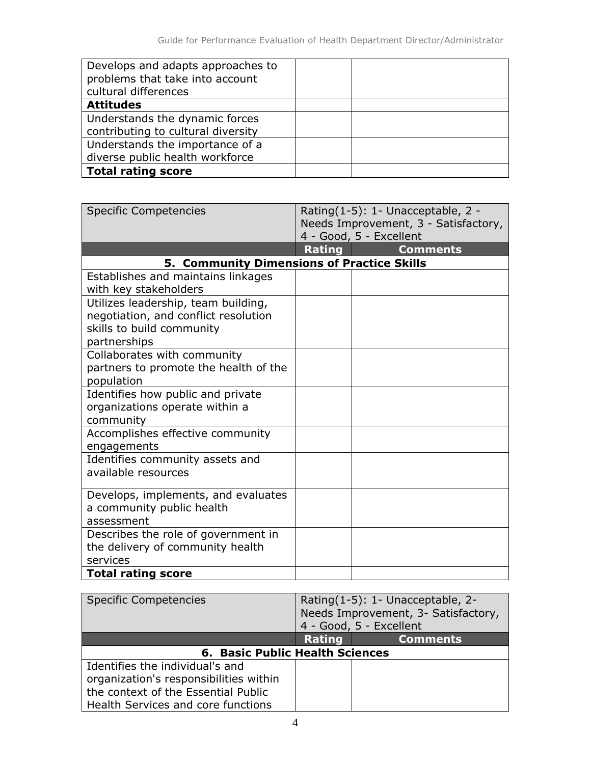| Develops and adapts approaches to<br>problems that take into account<br>cultural differences |  |
|----------------------------------------------------------------------------------------------|--|
| <b>Attitudes</b>                                                                             |  |
| Understands the dynamic forces                                                               |  |
| contributing to cultural diversity                                                           |  |
| Understands the importance of a                                                              |  |
| diverse public health workforce                                                              |  |
| <b>Total rating score</b>                                                                    |  |

| <b>Specific Competencies</b>          | Rating(1-5): 1- Unacceptable, 2 -<br>Needs Improvement, 3 - Satisfactory,<br>4 - Good, 5 - Excellent |  |
|---------------------------------------|------------------------------------------------------------------------------------------------------|--|
|                                       | Rating<br><b>Comments</b>                                                                            |  |
|                                       | <b>5. Community Dimensions of Practice Skills</b>                                                    |  |
| Establishes and maintains linkages    |                                                                                                      |  |
| with key stakeholders                 |                                                                                                      |  |
| Utilizes leadership, team building,   |                                                                                                      |  |
| negotiation, and conflict resolution  |                                                                                                      |  |
| skills to build community             |                                                                                                      |  |
| partnerships                          |                                                                                                      |  |
| Collaborates with community           |                                                                                                      |  |
| partners to promote the health of the |                                                                                                      |  |
| population                            |                                                                                                      |  |
| Identifies how public and private     |                                                                                                      |  |
| organizations operate within a        |                                                                                                      |  |
| community                             |                                                                                                      |  |
| Accomplishes effective community      |                                                                                                      |  |
| engagements                           |                                                                                                      |  |
| Identifies community assets and       |                                                                                                      |  |
| available resources                   |                                                                                                      |  |
| Develops, implements, and evaluates   |                                                                                                      |  |
| a community public health             |                                                                                                      |  |
| assessment                            |                                                                                                      |  |
| Describes the role of government in   |                                                                                                      |  |
| the delivery of community health      |                                                                                                      |  |
| services                              |                                                                                                      |  |
| <b>Total rating score</b>             |                                                                                                      |  |

| <b>Specific Competencies</b>           | Rating(1-5): 1- Unacceptable, 2-<br>Needs Improvement, 3- Satisfactory,<br>4 - Good, 5 - Excellent |                 |
|----------------------------------------|----------------------------------------------------------------------------------------------------|-----------------|
|                                        | Rating                                                                                             | <b>Comments</b> |
| 6. Basic Public Health Sciences        |                                                                                                    |                 |
| Identifies the individual's and        |                                                                                                    |                 |
| organization's responsibilities within |                                                                                                    |                 |
| the context of the Essential Public    |                                                                                                    |                 |
| Health Services and core functions     |                                                                                                    |                 |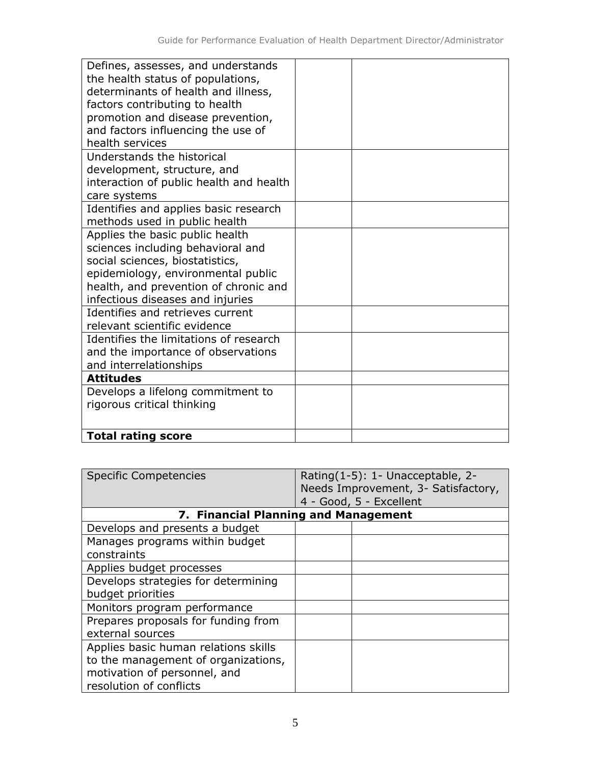| Defines, assesses, and understands      |  |
|-----------------------------------------|--|
| the health status of populations,       |  |
| determinants of health and illness,     |  |
| factors contributing to health          |  |
| promotion and disease prevention,       |  |
| and factors influencing the use of      |  |
| health services                         |  |
| Understands the historical              |  |
| development, structure, and             |  |
| interaction of public health and health |  |
| care systems                            |  |
| Identifies and applies basic research   |  |
| methods used in public health           |  |
| Applies the basic public health         |  |
| sciences including behavioral and       |  |
| social sciences, biostatistics,         |  |
| epidemiology, environmental public      |  |
| health, and prevention of chronic and   |  |
| infectious diseases and injuries        |  |
| Identifies and retrieves current        |  |
| relevant scientific evidence            |  |
| Identifies the limitations of research  |  |
| and the importance of observations      |  |
| and interrelationships                  |  |
| <b>Attitudes</b>                        |  |
| Develops a lifelong commitment to       |  |
| rigorous critical thinking              |  |
|                                         |  |
| <b>Total rating score</b>               |  |
|                                         |  |

| <b>Specific Competencies</b>                                                                                                           | Rating(1-5): 1- Unacceptable, 2-<br>Needs Improvement, 3- Satisfactory,<br>4 - Good, 5 - Excellent |  |
|----------------------------------------------------------------------------------------------------------------------------------------|----------------------------------------------------------------------------------------------------|--|
|                                                                                                                                        | 7. Financial Planning and Management                                                               |  |
| Develops and presents a budget                                                                                                         |                                                                                                    |  |
| Manages programs within budget<br>constraints                                                                                          |                                                                                                    |  |
| Applies budget processes                                                                                                               |                                                                                                    |  |
| Develops strategies for determining<br>budget priorities                                                                               |                                                                                                    |  |
| Monitors program performance                                                                                                           |                                                                                                    |  |
| Prepares proposals for funding from<br>external sources                                                                                |                                                                                                    |  |
| Applies basic human relations skills<br>to the management of organizations,<br>motivation of personnel, and<br>resolution of conflicts |                                                                                                    |  |